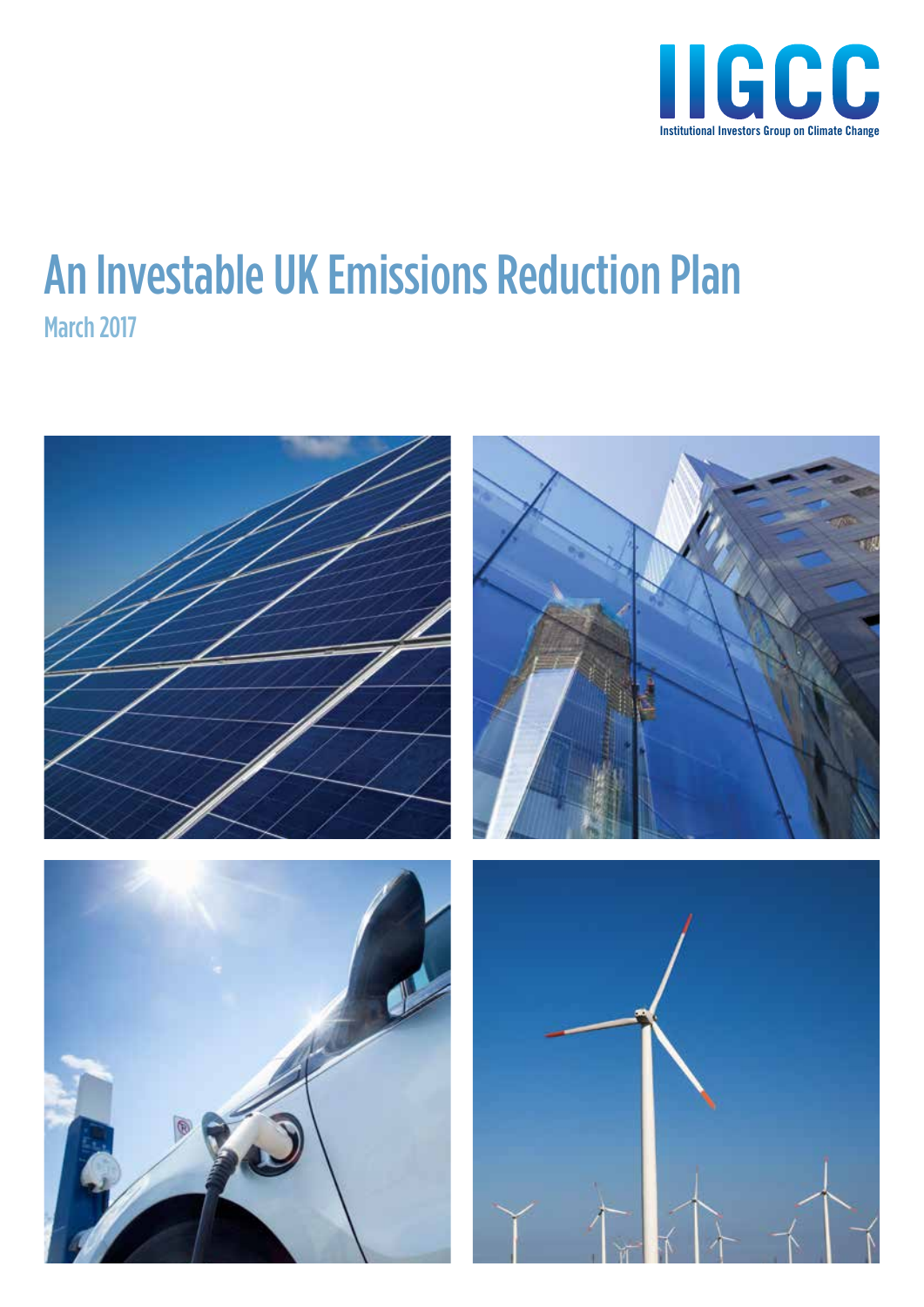

## An Investable UK Emissions Reduction Plan March 2017

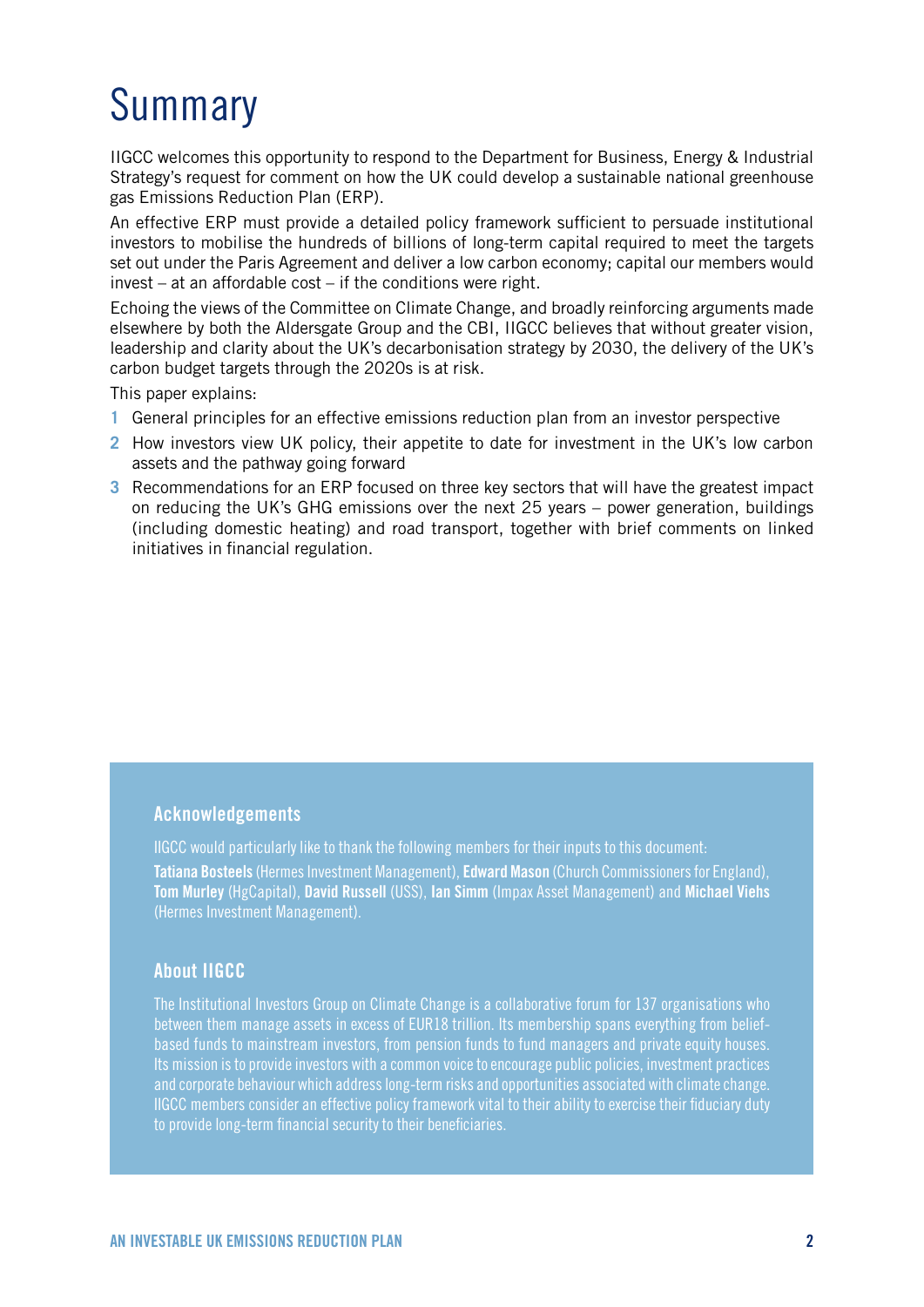## Summary

IIGCC welcomes this opportunity to respond to the Department for Business, Energy & Industrial Strategy's request for comment on how the UK could develop a sustainable national greenhouse gas Emissions Reduction Plan (ERP).

An effective ERP must provide a detailed policy framework sufficient to persuade institutional investors to mobilise the hundreds of billions of long-term capital required to meet the targets set out under the Paris Agreement and deliver a low carbon economy; capital our members would invest – at an affordable cost – if the conditions were right.

Echoing the views of the Committee on Climate Change, and broadly reinforcing arguments made elsewhere by both the Aldersgate Group and the CBI, IIGCC believes that without greater vision, leadership and clarity about the UK's decarbonisation strategy by 2030, the delivery of the UK's carbon budget targets through the 2020s is at risk.

This paper explains:

- **1** General principles for an effective emissions reduction plan from an investor perspective
- **2** How investors view UK policy, their appetite to date for investment in the UK's low carbon assets and the pathway going forward
- **3** Recommendations for an ERP focused on three key sectors that will have the greatest impact on reducing the UK's GHG emissions over the next 25 years – power generation, buildings (including domestic heating) and road transport, together with brief comments on linked initiatives in financial regulation.

### Acknowledgements

IIGCC would particularly like to thank the following members for their inputs to this document: Tatiana Bosteels (Hermes Investment Management), Edward Mason (Church Commissioners for England), Tom Murley (HgCapital), David Russell (USS), Ian Simm (Impax Asset Management) and Michael Viehs (Hermes Investment Management).

### About IIGCC

The Institutional Investors Group on Climate Change is a collaborative forum for 137 organisations who between them manage assets in excess of EUR18 trillion. Its membership spans everything from beliefbased funds to mainstream investors, from pension funds to fund managers and private equity houses. Its mission is to provide investors with a common voice to encourage public policies, investment practices and corporate behaviour which address long-term risks and opportunities associated with climate change. IIGCC members consider an effective policy framework vital to their ability to exercise their fiduciary duty to provide long-term financial security to their beneficiaries.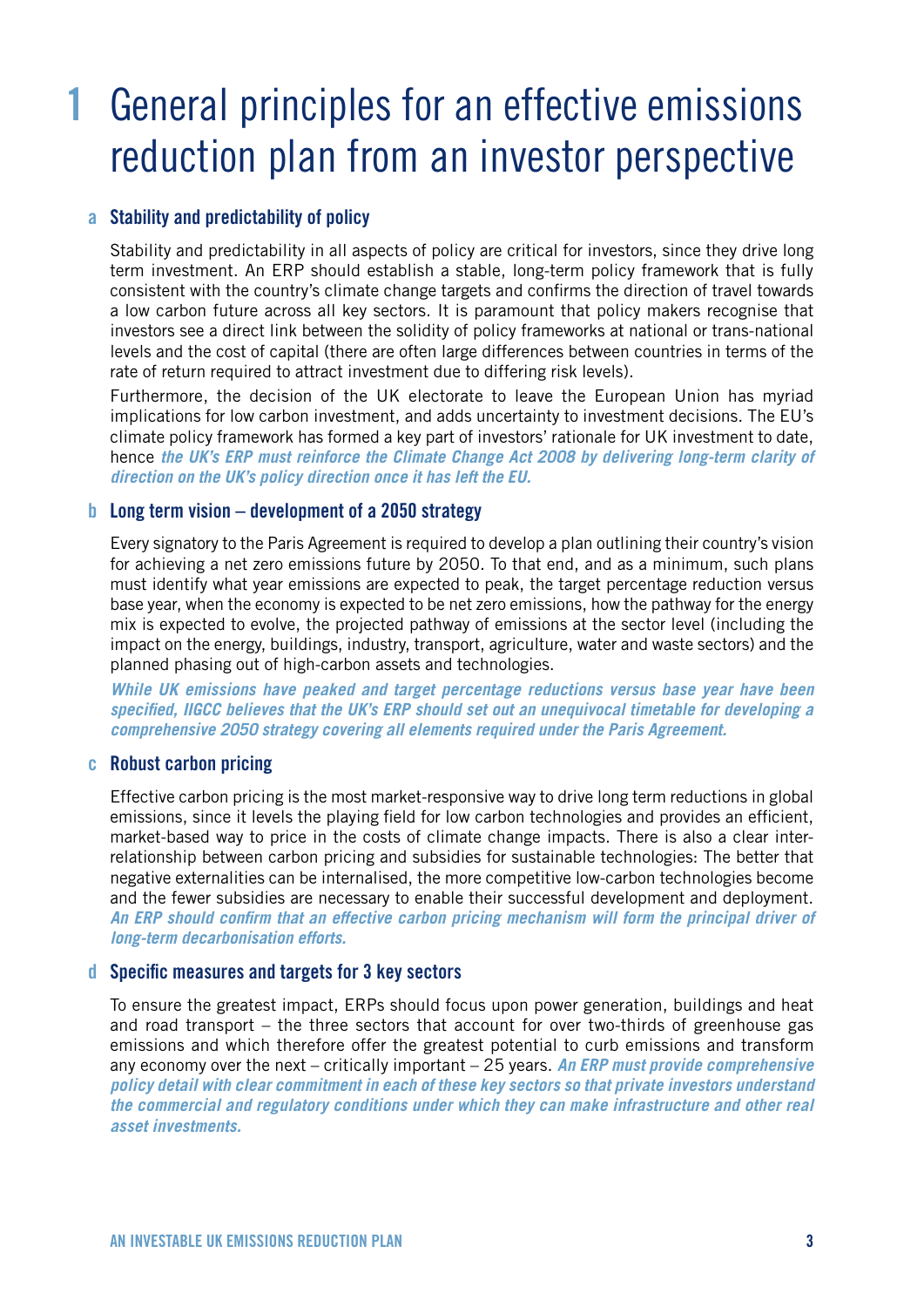# 1 General principles for an effective emissions reduction plan from an investor perspective

### a Stability and predictability of policy

Stability and predictability in all aspects of policy are critical for investors, since they drive long term investment. An ERP should establish a stable, long-term policy framework that is fully consistent with the country's climate change targets and confirms the direction of travel towards a low carbon future across all key sectors. It is paramount that policy makers recognise that investors see a direct link between the solidity of policy frameworks at national or trans-national levels and the cost of capital (there are often large differences between countries in terms of the rate of return required to attract investment due to differing risk levels).

Furthermore, the decision of the UK electorate to leave the European Union has myriad implications for low carbon investment, and adds uncertainty to investment decisions. The EU's climate policy framework has formed a key part of investors' rationale for UK investment to date, hence *the UK's ERP must reinforce the Climate Change Act 2008 by delivering long-term clarity of direction on the UK's policy direction once it has left the EU.*

### **b** Long term vision – development of a 2050 strategy

Every signatory to the Paris Agreement is required to develop a plan outlining their country's vision for achieving a net zero emissions future by 2050. To that end, and as a minimum, such plans must identify what year emissions are expected to peak, the target percentage reduction versus base year, when the economy is expected to be net zero emissions, how the pathway for the energy mix is expected to evolve, the projected pathway of emissions at the sector level (including the impact on the energy, buildings, industry, transport, agriculture, water and waste sectors) and the planned phasing out of high-carbon assets and technologies.

*While UK emissions have peaked and target percentage reductions versus base year have been specified, IIGCC believes that the UK's ERP should set out an unequivocal timetable for developing a comprehensive 2050 strategy covering all elements required under the Paris Agreement.*

### c Robust carbon pricing

Effective carbon pricing is the most market-responsive way to drive long term reductions in global emissions, since it levels the playing field for low carbon technologies and provides an efficient, market-based way to price in the costs of climate change impacts. There is also a clear interrelationship between carbon pricing and subsidies for sustainable technologies: The better that negative externalities can be internalised, the more competitive low-carbon technologies become and the fewer subsidies are necessary to enable their successful development and deployment. *An ERP should confirm that an effective carbon pricing mechanism will form the principal driver of long-term decarbonisation efforts.* 

### d Specific measures and targets for 3 key sectors

To ensure the greatest impact, ERPs should focus upon power generation, buildings and heat and road transport – the three sectors that account for over two-thirds of greenhouse gas emissions and which therefore offer the greatest potential to curb emissions and transform any economy over the next – critically important – 25 years. *An ERP must provide comprehensive policy detail with clear commitment in each of these key sectors so that private investors understand the commercial and regulatory conditions under which they can make infrastructure and other real asset investments.*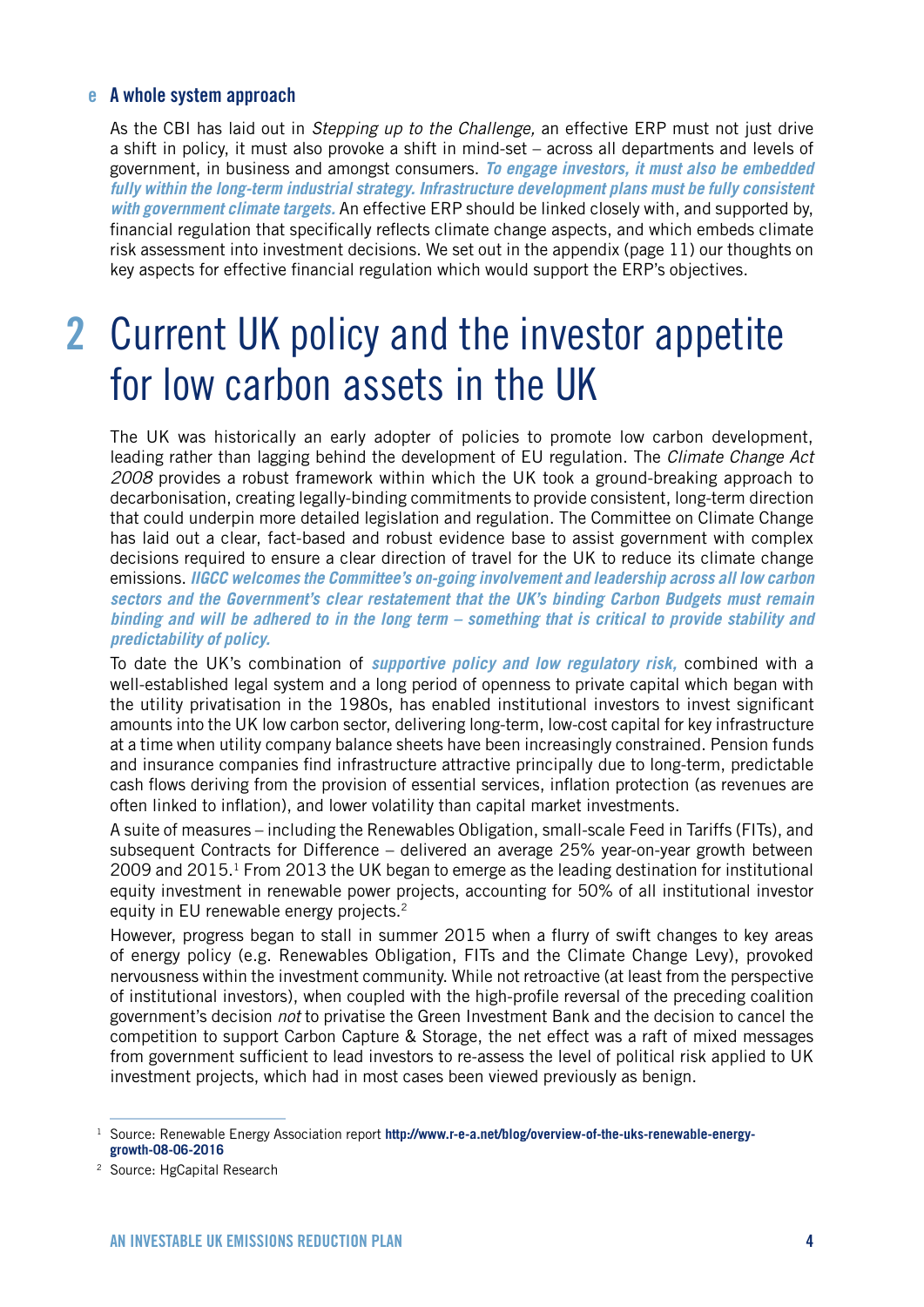### e A whole system approach

As the CBI has laid out in *Stepping up to the Challenge,* an effective ERP must not just drive a shift in policy, it must also provoke a shift in mind-set – across all departments and levels of government, in business and amongst consumers. *To engage investors, it must also be embedded fully within the long-term industrial strategy. Infrastructure development plans must be fully consistent with government climate targets.* An effective ERP should be linked closely with, and supported by, financial regulation that specifically reflects climate change aspects, and which embeds climate risk assessment into investment decisions. We set out in the appendix (page 11) our thoughts on key aspects for effective financial regulation which would support the ERP's objectives.

## 2 Current UK policy and the investor appetite for low carbon assets in the UK

The UK was historically an early adopter of policies to promote low carbon development, leading rather than lagging behind the development of EU regulation. The *Climate Change Act 2008* provides a robust framework within which the UK took a ground-breaking approach to decarbonisation, creating legally-binding commitments to provide consistent, long-term direction that could underpin more detailed legislation and regulation. The Committee on Climate Change has laid out a clear, fact-based and robust evidence base to assist government with complex decisions required to ensure a clear direction of travel for the UK to reduce its climate change emissions. *IIGCC welcomes the Committee's on-going involvement and leadership across all low carbon sectors and the Government's clear restatement that the UK's binding Carbon Budgets must remain binding and will be adhered to in the long term – something that is critical to provide stability and predictability of policy.*

To date the UK's combination of *supportive policy and low regulatory risk,* combined with a well-established legal system and a long period of openness to private capital which began with the utility privatisation in the 1980s, has enabled institutional investors to invest significant amounts into the UK low carbon sector, delivering long-term, low-cost capital for key infrastructure at a time when utility company balance sheets have been increasingly constrained. Pension funds and insurance companies find infrastructure attractive principally due to long-term, predictable cash flows deriving from the provision of essential services, inflation protection (as revenues are often linked to inflation), and lower volatility than capital market investments.

A suite of measures – including the Renewables Obligation, small-scale Feed in Tariffs (FITs), and subsequent Contracts for Difference – delivered an average 25% year-on-year growth between 2009 and 2015.1 From 2013 the UK began to emerge as the leading destination for institutional equity investment in renewable power projects, accounting for 50% of all institutional investor equity in EU renewable energy projects.<sup>2</sup>

However, progress began to stall in summer 2015 when a flurry of swift changes to key areas of energy policy (e.g. Renewables Obligation, FITs and the Climate Change Levy), provoked nervousness within the investment community. While not retroactive (at least from the perspective of institutional investors), when coupled with the high-profile reversal of the preceding coalition government's decision *not* to privatise the Green Investment Bank and the decision to cancel the competition to support Carbon Capture & Storage, the net effect was a raft of mixed messages from government sufficient to lead investors to re-assess the level of political risk applied to UK investment projects, which had in most cases been viewed previously as benign.

<sup>1</sup> Source: Renewable Energy Association report **[http://www.r-e-a.net/blog/overview-of-the-uks-renewable-energy](http://www.r-e-a.net/blog/overview-of-the-uks-renewable-energy-growth-08-06-2016))[growth-08-06-2016](http://www.r-e-a.net/blog/overview-of-the-uks-renewable-energy-growth-08-06-2016))**

<sup>2</sup> Source: HgCapital Research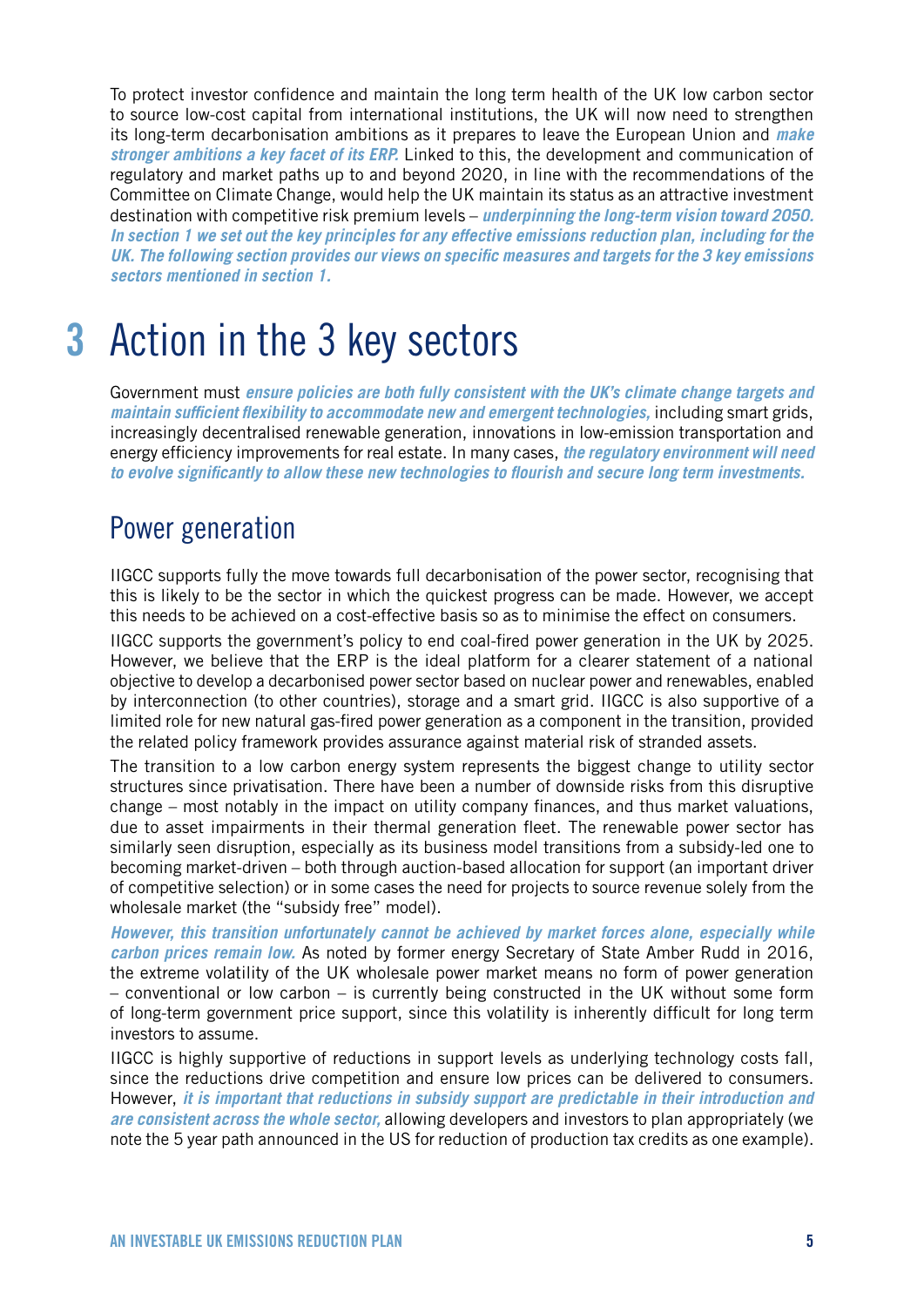To protect investor confidence and maintain the long term health of the UK low carbon sector to source low-cost capital from international institutions, the UK will now need to strengthen its long-term decarbonisation ambitions as it prepares to leave the European Union and *make stronger ambitions a key facet of its ERP.* Linked to this, the development and communication of regulatory and market paths up to and beyond 2020, in line with the recommendations of the Committee on Climate Change, would help the UK maintain its status as an attractive investment destination with competitive risk premium levels – *underpinning the long-term vision toward 2050. In section 1 we set out the key principles for any effective emissions reduction plan, including for the UK. The following section provides our views on specific measures and targets for the 3 key emissions sectors mentioned in section 1.*

# 3 Action in the 3 key sectors

Government must *ensure policies are both fully consistent with the UK's climate change targets and maintain sufficient flexibility to accommodate new and emergent technologies,* including smart grids, increasingly decentralised renewable generation, innovations in low-emission transportation and energy efficiency improvements for real estate. In many cases, *the regulatory environment will need to evolve significantly to allow these new technologies to flourish and secure long term investments.* 

### Power generation

IIGCC supports fully the move towards full decarbonisation of the power sector, recognising that this is likely to be the sector in which the quickest progress can be made. However, we accept this needs to be achieved on a cost-effective basis so as to minimise the effect on consumers.

IIGCC supports the government's policy to end coal-fired power generation in the UK by 2025. However, we believe that the ERP is the ideal platform for a clearer statement of a national objective to develop a decarbonised power sector based on nuclear power and renewables, enabled by interconnection (to other countries), storage and a smart grid. IIGCC is also supportive of a limited role for new natural gas-fired power generation as a component in the transition, provided the related policy framework provides assurance against material risk of stranded assets.

The transition to a low carbon energy system represents the biggest change to utility sector structures since privatisation. There have been a number of downside risks from this disruptive change – most notably in the impact on utility company finances, and thus market valuations, due to asset impairments in their thermal generation fleet. The renewable power sector has similarly seen disruption, especially as its business model transitions from a subsidy-led one to becoming market-driven – both through auction-based allocation for support (an important driver of competitive selection) or in some cases the need for projects to source revenue solely from the wholesale market (the "subsidy free" model).

*However, this transition unfortunately cannot be achieved by market forces alone, especially while carbon prices remain low.* As noted by former energy Secretary of State Amber Rudd in 2016, the extreme volatility of the UK wholesale power market means no form of power generation – conventional or low carbon – is currently being constructed in the UK without some form of long-term government price support, since this volatility is inherently difficult for long term investors to assume.

IIGCC is highly supportive of reductions in support levels as underlying technology costs fall, since the reductions drive competition and ensure low prices can be delivered to consumers. However, *it is important that reductions in subsidy support are predictable in their introduction and are consistent across the whole sector,* allowing developers and investors to plan appropriately (we note the 5 year path announced in the US for reduction of production tax credits as one example).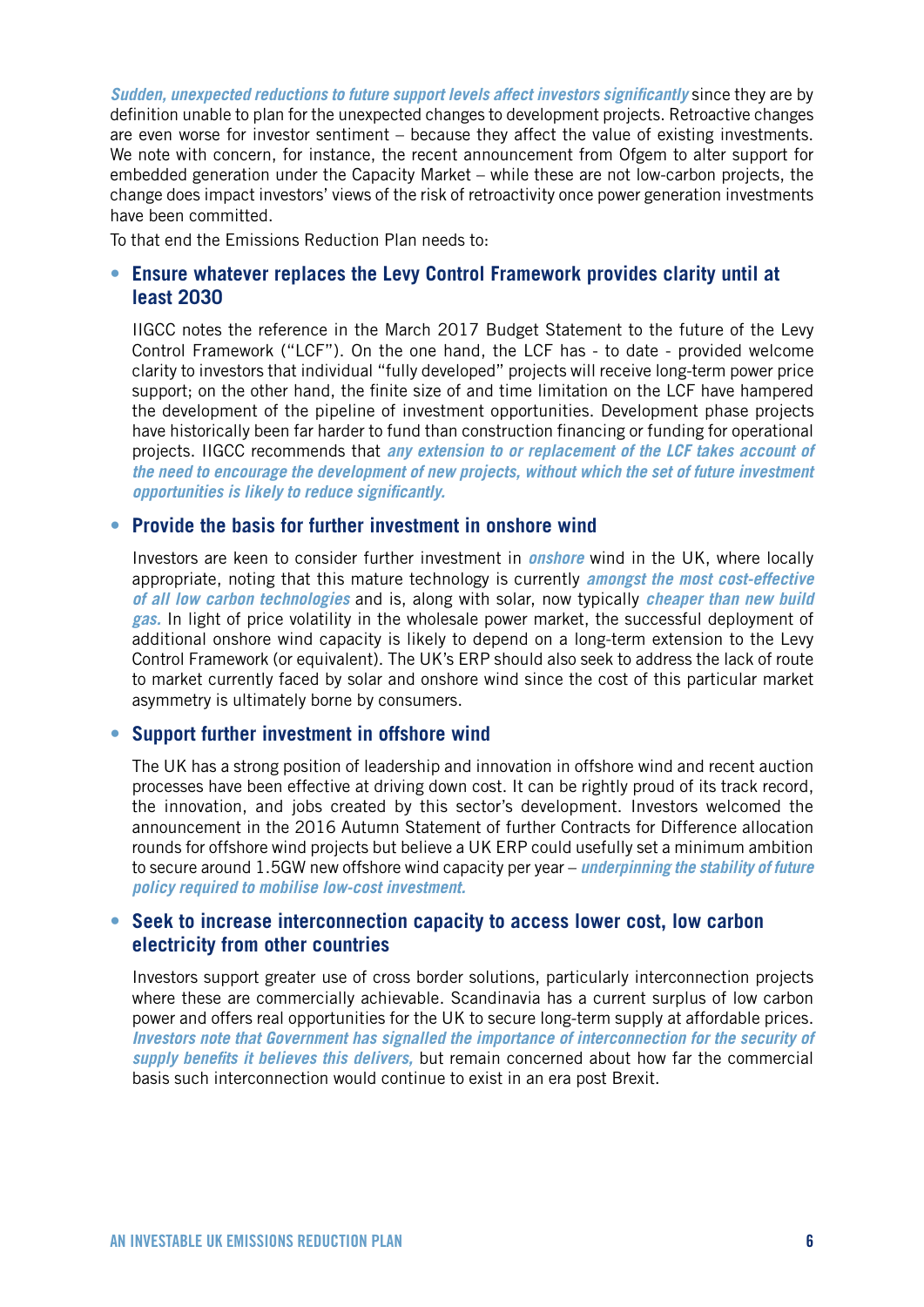*Sudden, unexpected reductions to future support levels affect investors significantly* since they are by definition unable to plan for the unexpected changes to development projects. Retroactive changes are even worse for investor sentiment – because they affect the value of existing investments. We note with concern, for instance, the recent announcement from Ofgem to alter support for embedded generation under the Capacity Market – while these are not low-carbon projects, the change does impact investors' views of the risk of retroactivity once power generation investments have been committed.

To that end the Emissions Reduction Plan needs to:

### **• Ensure whatever replaces the Levy Control Framework provides clarity until at least 2030**

IIGCC notes the reference in the March 2017 Budget Statement to the future of the Levy Control Framework ("LCF"). On the one hand, the LCF has - to date - provided welcome clarity to investors that individual "fully developed" projects will receive long-term power price support; on the other hand, the finite size of and time limitation on the LCF have hampered the development of the pipeline of investment opportunities. Development phase projects have historically been far harder to fund than construction financing or funding for operational projects. IIGCC recommends that *any extension to or replacement of the LCF takes account of the need to encourage the development of new projects, without which the set of future investment opportunities is likely to reduce significantly.* 

### **• Provide the basis for further investment in onshore wind**

Investors are keen to consider further investment in *onshore* wind in the UK, where locally appropriate, noting that this mature technology is currently *amongst the most cost-effective of all low carbon technologies* and is, along with solar, now typically *cheaper than new build gas.* In light of price volatility in the wholesale power market, the successful deployment of additional onshore wind capacity is likely to depend on a long-term extension to the Levy Control Framework (or equivalent). The UK's ERP should also seek to address the lack of route to market currently faced by solar and onshore wind since the cost of this particular market asymmetry is ultimately borne by consumers.

### **• Support further investment in offshore wind**

The UK has a strong position of leadership and innovation in offshore wind and recent auction processes have been effective at driving down cost. It can be rightly proud of its track record, the innovation, and jobs created by this sector's development. Investors welcomed the announcement in the 2016 Autumn Statement of further Contracts for Difference allocation rounds for offshore wind projects but believe a UK ERP could usefully set a minimum ambition to secure around 1.5GW new offshore wind capacity per year – *underpinning the stability of future policy required to mobilise low-cost investment.* 

### **• Seek to increase interconnection capacity to access lower cost, low carbon electricity from other countries**

Investors support greater use of cross border solutions, particularly interconnection projects where these are commercially achievable. Scandinavia has a current surplus of low carbon power and offers real opportunities for the UK to secure long-term supply at affordable prices. *Investors note that Government has signalled the importance of interconnection for the security of supply benefits it believes this delivers,* but remain concerned about how far the commercial basis such interconnection would continue to exist in an era post Brexit.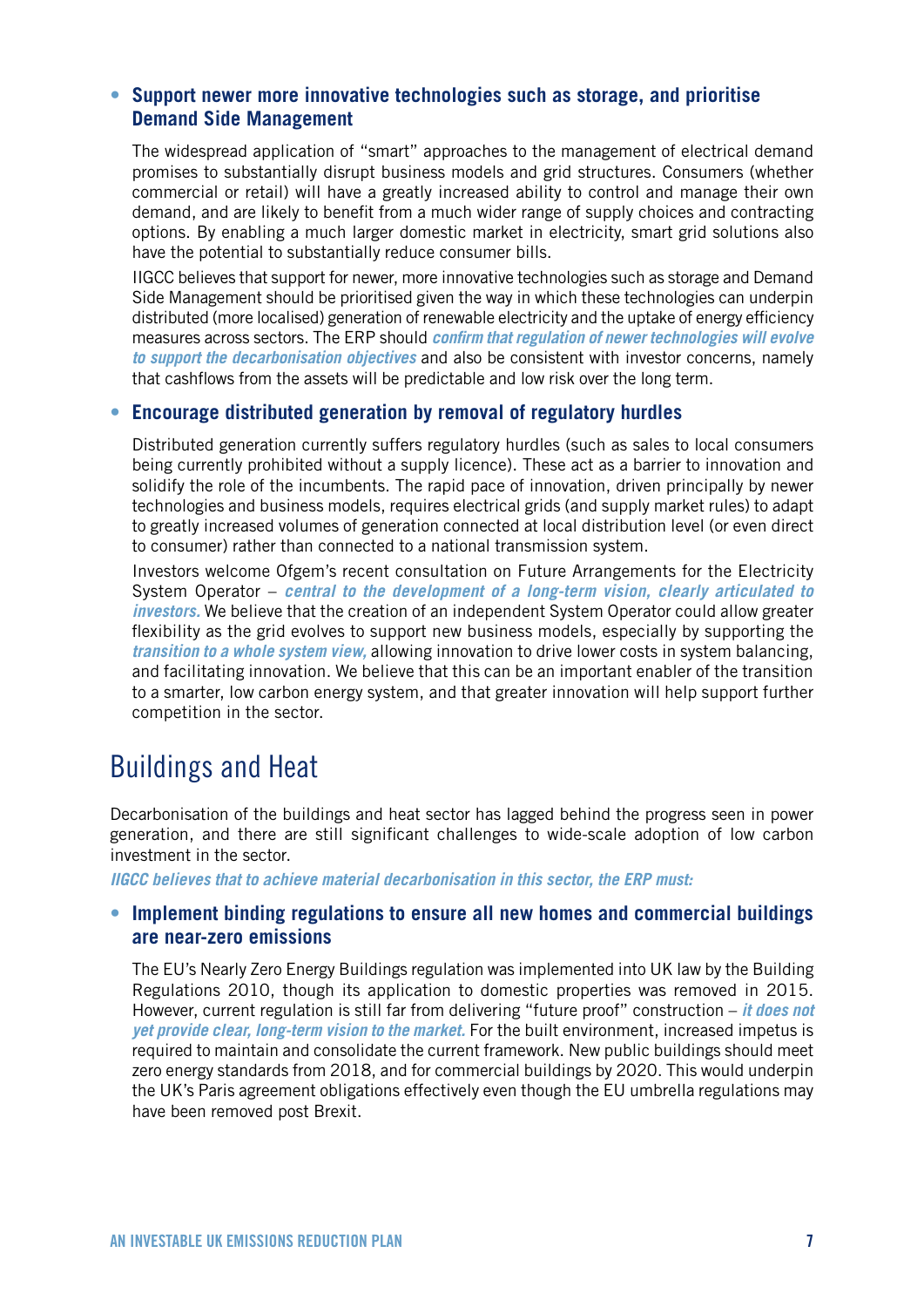### **• Support newer more innovative technologies such as storage, and prioritise Demand Side Management**

The widespread application of "smart" approaches to the management of electrical demand promises to substantially disrupt business models and grid structures. Consumers (whether commercial or retail) will have a greatly increased ability to control and manage their own demand, and are likely to benefit from a much wider range of supply choices and contracting options. By enabling a much larger domestic market in electricity, smart grid solutions also have the potential to substantially reduce consumer bills.

IIGCC believes that support for newer, more innovative technologies such as storage and Demand Side Management should be prioritised given the way in which these technologies can underpin distributed (more localised) generation of renewable electricity and the uptake of energy efficiency measures across sectors. The ERP should *confirm that regulation of newer technologies will evolve to support the decarbonisation objectives* and also be consistent with investor concerns, namely that cashflows from the assets will be predictable and low risk over the long term.

### **• Encourage distributed generation by removal of regulatory hurdles**

Distributed generation currently suffers regulatory hurdles (such as sales to local consumers being currently prohibited without a supply licence). These act as a barrier to innovation and solidify the role of the incumbents. The rapid pace of innovation, driven principally by newer technologies and business models, requires electrical grids (and supply market rules) to adapt to greatly increased volumes of generation connected at local distribution level (or even direct to consumer) rather than connected to a national transmission system.

Investors welcome Ofgem's recent consultation on Future Arrangements for the Electricity System Operator – *central to the development of a long-term vision, clearly articulated to investors.* We believe that the creation of an independent System Operator could allow greater flexibility as the grid evolves to support new business models, especially by supporting the *transition to a whole system view,* allowing innovation to drive lower costs in system balancing, and facilitating innovation. We believe that this can be an important enabler of the transition to a smarter, low carbon energy system, and that greater innovation will help support further competition in the sector.

### Buildings and Heat

Decarbonisation of the buildings and heat sector has lagged behind the progress seen in power generation, and there are still significant challenges to wide-scale adoption of low carbon investment in the sector.

*IIGCC believes that to achieve material decarbonisation in this sector, the ERP must:*

### **• Implement binding regulations to ensure all new homes and commercial buildings are near-zero emissions**

The EU's Nearly Zero Energy Buildings regulation was implemented into UK law by the Building Regulations 2010, though its application to domestic properties was removed in 2015. However, current regulation is still far from delivering "future proof" construction – *it does not yet provide clear, long-term vision to the market.* For the built environment, increased impetus is required to maintain and consolidate the current framework. New public buildings should meet zero energy standards from 2018, and for commercial buildings by 2020. This would underpin the UK's Paris agreement obligations effectively even though the EU umbrella regulations may have been removed post Brexit.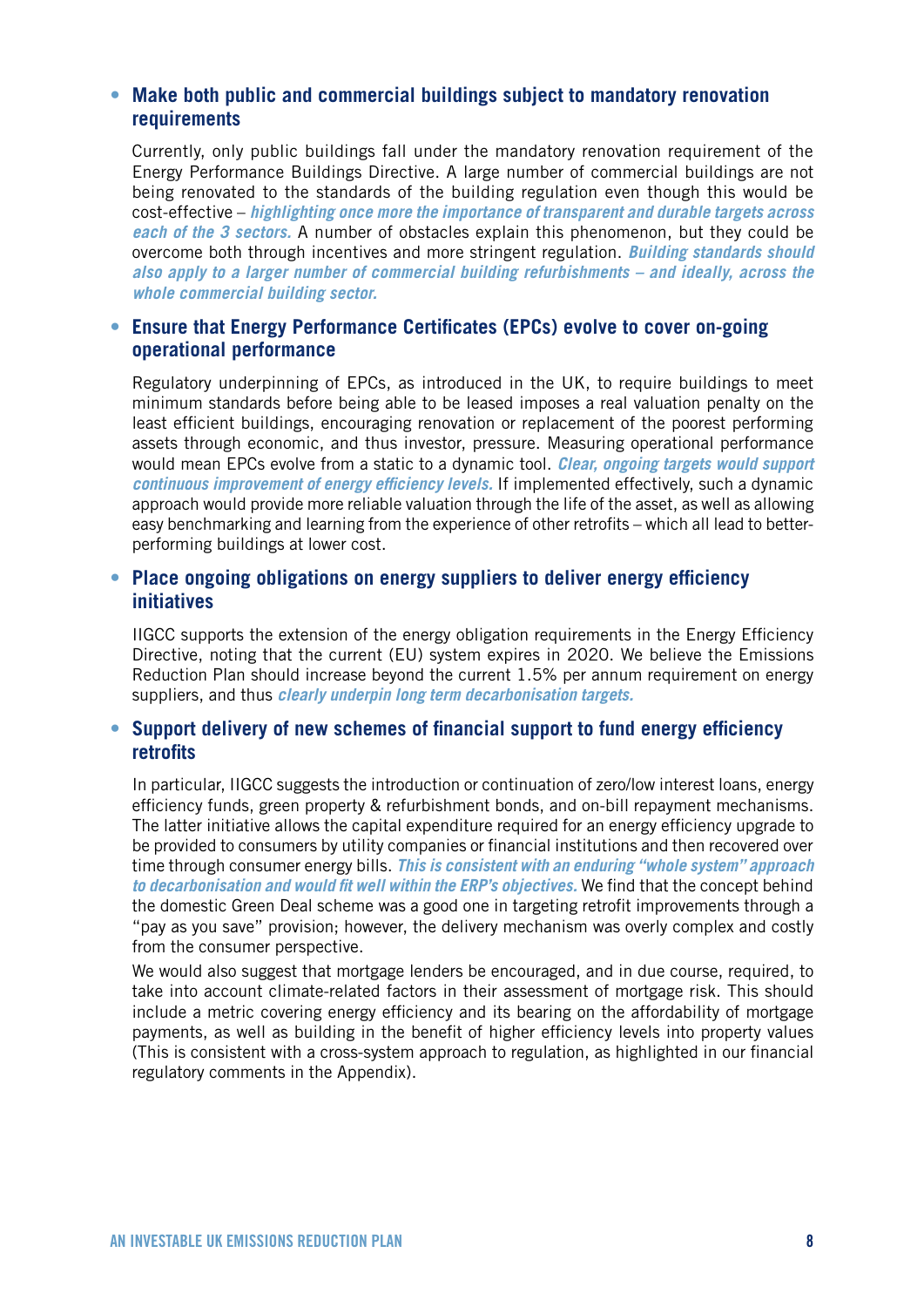### **• Make both public and commercial buildings subject to mandatory renovation requirements**

Currently, only public buildings fall under the mandatory renovation requirement of the Energy Performance Buildings Directive. A large number of commercial buildings are not being renovated to the standards of the building regulation even though this would be cost-effective – *highlighting once more the importance of transparent and durable targets across each of the 3 sectors.* A number of obstacles explain this phenomenon, but they could be overcome both through incentives and more stringent regulation. *Building standards should also apply to a larger number of commercial building refurbishments – and ideally, across the whole commercial building sector.* 

### **• Ensure that Energy Performance Certificates (EPCs) evolve to cover on-going operational performance**

Regulatory underpinning of EPCs, as introduced in the UK, to require buildings to meet minimum standards before being able to be leased imposes a real valuation penalty on the least efficient buildings, encouraging renovation or replacement of the poorest performing assets through economic, and thus investor, pressure. Measuring operational performance would mean EPCs evolve from a static to a dynamic tool. *Clear, ongoing targets would support continuous improvement of energy efficiency levels.* If implemented effectively, such a dynamic approach would provide more reliable valuation through the life of the asset, as well as allowing easy benchmarking and learning from the experience of other retrofits – which all lead to betterperforming buildings at lower cost.

### **• Place ongoing obligations on energy suppliers to deliver energy efficiency initiatives**

IIGCC supports the extension of the energy obligation requirements in the Energy Efficiency Directive, noting that the current (EU) system expires in 2020. We believe the Emissions Reduction Plan should increase beyond the current 1.5% per annum requirement on energy suppliers, and thus *clearly underpin long term decarbonisation targets.*

### **• Support delivery of new schemes of financial support to fund energy efficiency retrofits**

In particular, IIGCC suggests the introduction or continuation of zero/low interest loans, energy efficiency funds, green property & refurbishment bonds, and on-bill repayment mechanisms. The latter initiative allows the capital expenditure required for an energy efficiency upgrade to be provided to consumers by utility companies or financial institutions and then recovered over time through consumer energy bills. *This is consistent with an enduring "whole system" approach to decarbonisation and would fit well within the ERP's objectives.* We find that the concept behind the domestic Green Deal scheme was a good one in targeting retrofit improvements through a "pay as you save" provision; however, the delivery mechanism was overly complex and costly from the consumer perspective.

We would also suggest that mortgage lenders be encouraged, and in due course, required, to take into account climate-related factors in their assessment of mortgage risk. This should include a metric covering energy efficiency and its bearing on the affordability of mortgage payments, as well as building in the benefit of higher efficiency levels into property values (This is consistent with a cross-system approach to regulation, as highlighted in our financial regulatory comments in the Appendix).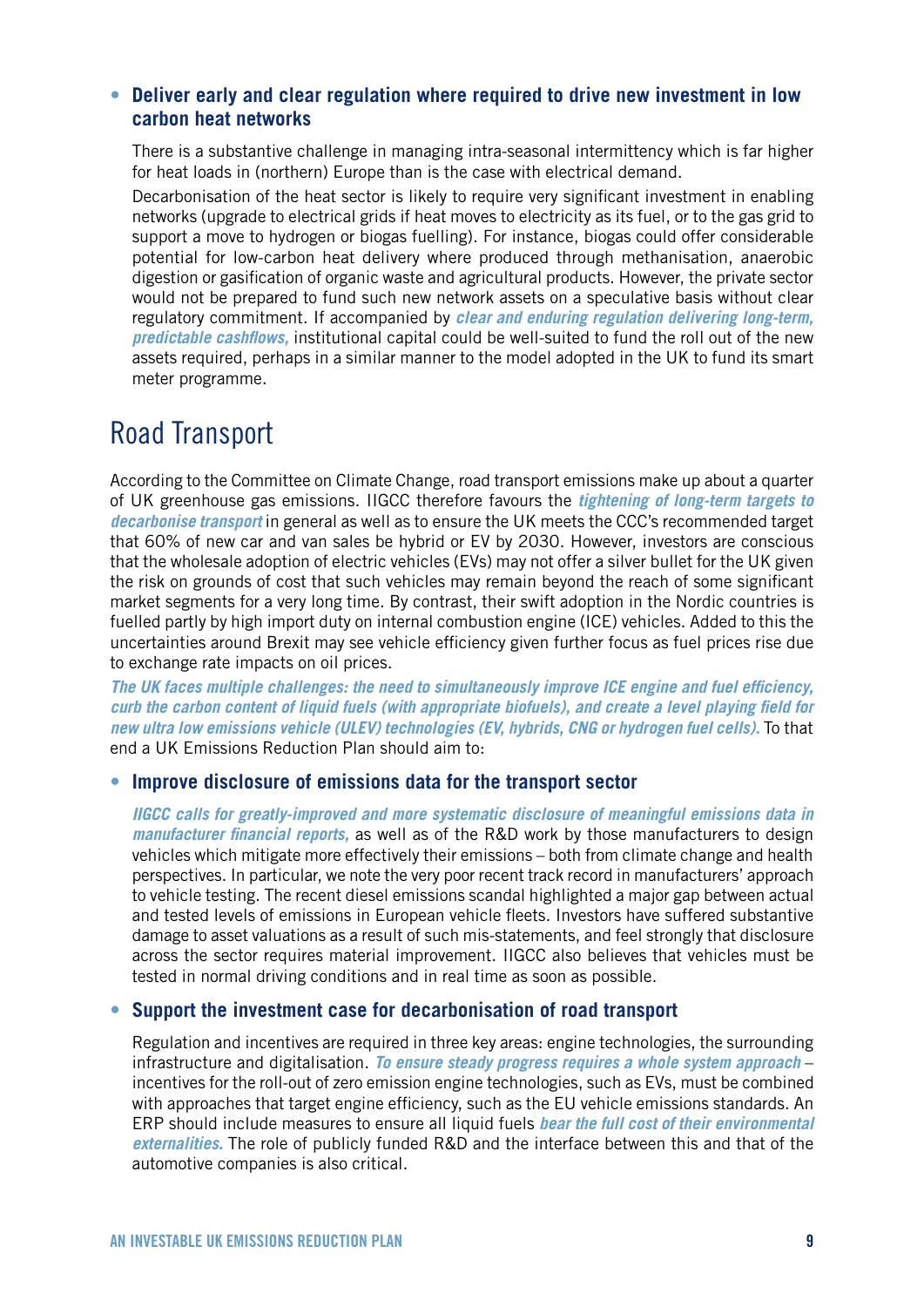### **• Deliver early and clear regulation where required to drive new investment in low carbon heat networks**

There is a substantive challenge in managing intra-seasonal intermittency which is far higher for heat loads in (northern) Europe than is the case with electrical demand.

Decarbonisation of the heat sector is likely to require very significant investment in enabling networks (upgrade to electrical grids if heat moves to electricity as its fuel, or to the gas grid to support a move to hydrogen or biogas fuelling). For instance, biogas could offer considerable potential for low-carbon heat delivery where produced through methanisation, anaerobic digestion or gasification of organic waste and agricultural products. However, the private sector would not be prepared to fund such new network assets on a speculative basis without clear regulatory commitment. If accompanied by *clear and enduring regulation delivering long-term, predictable cashflows,* institutional capital could be well-suited to fund the roll out of the new assets required, perhaps in a similar manner to the model adopted in the UK to fund its smart meter programme.

### Road Transport

According to the Committee on Climate Change, road transport emissions make up about a quarter of UK greenhouse gas emissions. IIGCC therefore favours the *tightening of long-term targets to decarbonise transport* in general as well as to ensure the UK meets the CCC's recommended target that 60% of new car and van sales be hybrid or EV by 2030. However, investors are conscious that the wholesale adoption of electric vehicles (EVs) may not offer a silver bullet for the UK given the risk on grounds of cost that such vehicles may remain beyond the reach of some significant market segments for a very long time. By contrast, their swift adoption in the Nordic countries is fuelled partly by high import duty on internal combustion engine (ICE) vehicles. Added to this the uncertainties around Brexit may see vehicle efficiency given further focus as fuel prices rise due to exchange rate impacts on oil prices.

*The UK faces multiple challenges: the need to simultaneously improve ICE engine and fuel efficiency, curb the carbon content of liquid fuels (with appropriate biofuels), and create a level playing field for new ultra low emissions vehicle (ULEV) technologies (EV, hybrids, CNG or hydrogen fuel cells).* To that end a UK Emissions Reduction Plan should aim to:

### **• Improve disclosure of emissions data for the transport sector**

*IIGCC calls for greatly-improved and more systematic disclosure of meaningful emissions data in manufacturer financial reports,* as well as of the R&D work by those manufacturers to design vehicles which mitigate more effectively their emissions – both from climate change and health perspectives. In particular, we note the very poor recent track record in manufacturers' approach to vehicle testing. The recent diesel emissions scandal highlighted a major gap between actual and tested levels of emissions in European vehicle fleets. Investors have suffered substantive damage to asset valuations as a result of such mis-statements, and feel strongly that disclosure across the sector requires material improvement. IIGCC also believes that vehicles must be tested in normal driving conditions and in real time as soon as possible.

### **• Support the investment case for decarbonisation of road transport**

Regulation and incentives are required in three key areas: engine technologies, the surrounding infrastructure and digitalisation. *To ensure steady progress requires a whole system approach* – incentives for the roll-out of zero emission engine technologies, such as EVs, must be combined with approaches that target engine efficiency, such as the EU vehicle emissions standards. An ERP should include measures to ensure all liquid fuels *bear the full cost of their environmental externalities.* The role of publicly funded R&D and the interface between this and that of the automotive companies is also critical.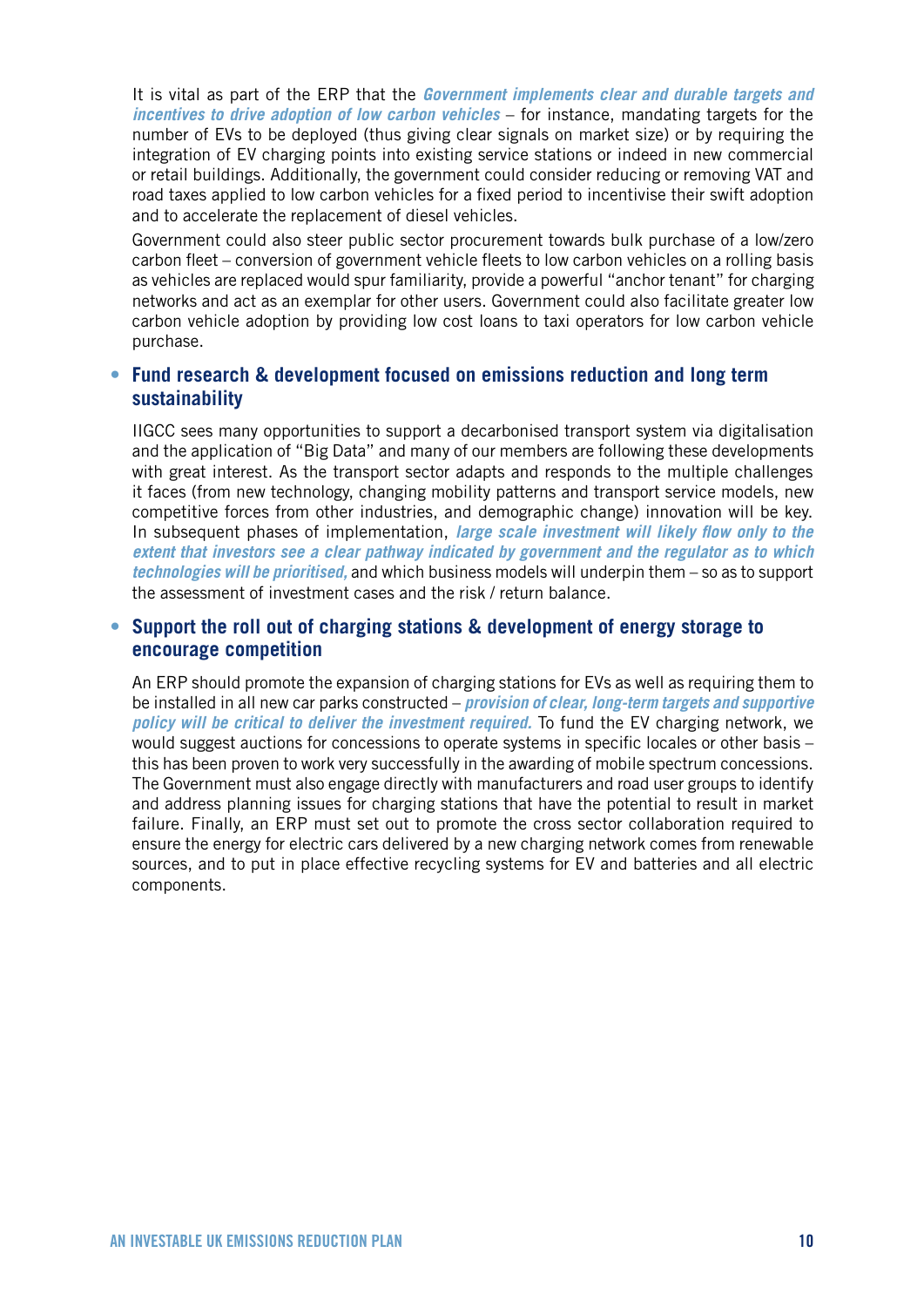It is vital as part of the ERP that the *Government implements clear and durable targets and incentives to drive adoption of low carbon vehicles* – for instance, mandating targets for the number of EVs to be deployed (thus giving clear signals on market size) or by requiring the integration of EV charging points into existing service stations or indeed in new commercial or retail buildings. Additionally, the government could consider reducing or removing VAT and road taxes applied to low carbon vehicles for a fixed period to incentivise their swift adoption and to accelerate the replacement of diesel vehicles.

Government could also steer public sector procurement towards bulk purchase of a low/zero carbon fleet – conversion of government vehicle fleets to low carbon vehicles on a rolling basis as vehicles are replaced would spur familiarity, provide a powerful "anchor tenant" for charging networks and act as an exemplar for other users. Government could also facilitate greater low carbon vehicle adoption by providing low cost loans to taxi operators for low carbon vehicle purchase.

### **• Fund research & development focused on emissions reduction and long term sustainability**

IIGCC sees many opportunities to support a decarbonised transport system via digitalisation and the application of "Big Data" and many of our members are following these developments with great interest. As the transport sector adapts and responds to the multiple challenges it faces (from new technology, changing mobility patterns and transport service models, new competitive forces from other industries, and demographic change) innovation will be key. In subsequent phases of implementation, *large scale investment will likely flow only to the extent that investors see a clear pathway indicated by government and the regulator as to which technologies will be prioritised,* and which business models will underpin them – so as to support the assessment of investment cases and the risk / return balance.

### **• Support the roll out of charging stations & development of energy storage to encourage competition**

An ERP should promote the expansion of charging stations for EVs as well as requiring them to be installed in all new car parks constructed – *provision of clear, long-term targets and supportive policy will be critical to deliver the investment required.* To fund the EV charging network, we would suggest auctions for concessions to operate systems in specific locales or other basis – this has been proven to work very successfully in the awarding of mobile spectrum concessions. The Government must also engage directly with manufacturers and road user groups to identify and address planning issues for charging stations that have the potential to result in market failure. Finally, an ERP must set out to promote the cross sector collaboration required to ensure the energy for electric cars delivered by a new charging network comes from renewable sources, and to put in place effective recycling systems for EV and batteries and all electric components.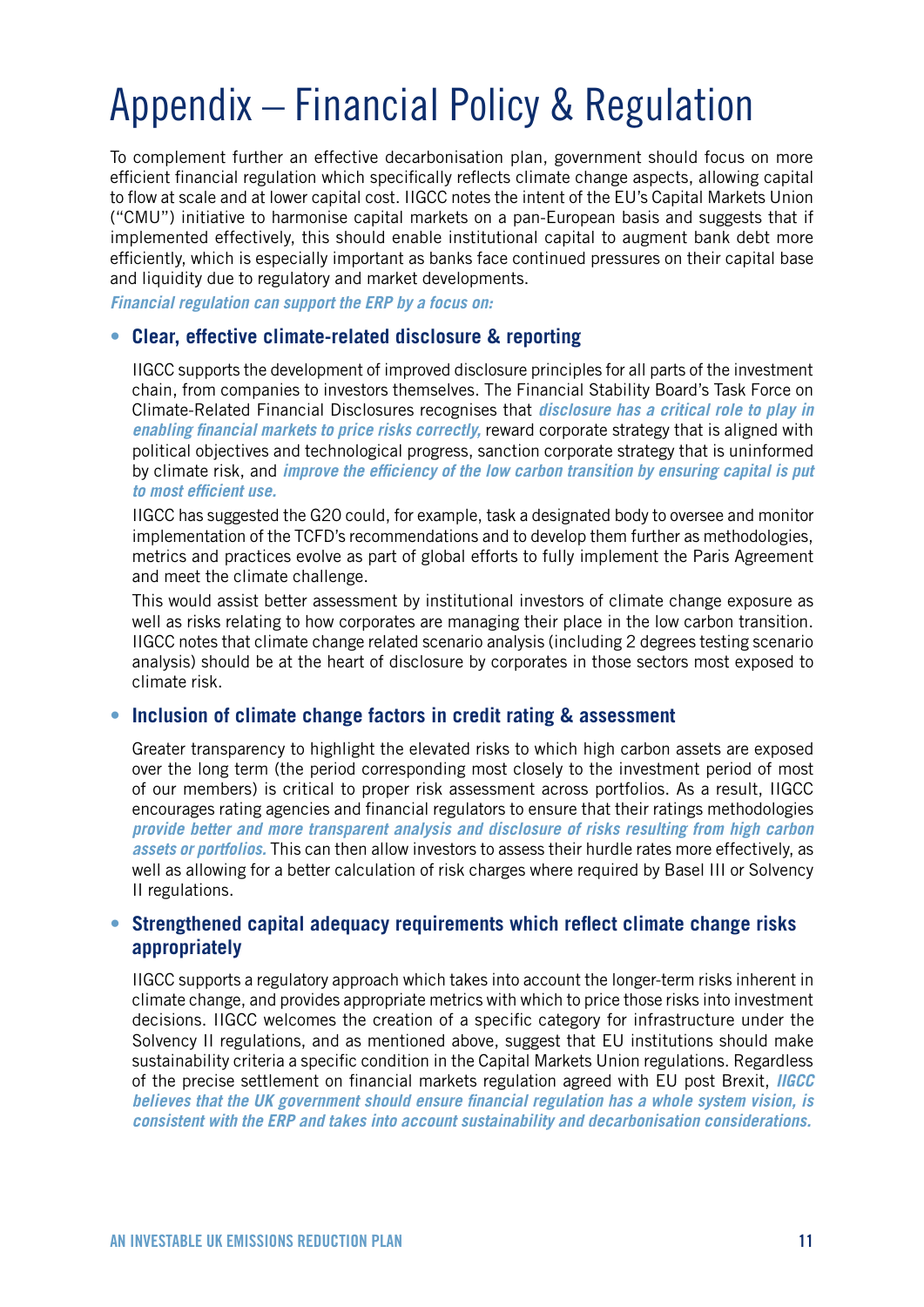# Appendix – Financial Policy & Regulation

To complement further an effective decarbonisation plan, government should focus on more efficient financial regulation which specifically reflects climate change aspects, allowing capital to flow at scale and at lower capital cost. IIGCC notes the intent of the EU's Capital Markets Union ("CMU") initiative to harmonise capital markets on a pan-European basis and suggests that if implemented effectively, this should enable institutional capital to augment bank debt more efficiently, which is especially important as banks face continued pressures on their capital base and liquidity due to regulatory and market developments.

*Financial regulation can support the ERP by a focus on:*

### **• Clear, effective climate-related disclosure & reporting**

IIGCC supports the development of improved disclosure principles for all parts of the investment chain, from companies to investors themselves. The Financial Stability Board's Task Force on Climate-Related Financial Disclosures recognises that *disclosure has a critical role to play in enabling financial markets to price risks correctly,* reward corporate strategy that is aligned with political objectives and technological progress, sanction corporate strategy that is uninformed by climate risk, and *improve the efficiency of the low carbon transition by ensuring capital is put to most efficient use.* 

IIGCC has suggested the G20 could, for example, task a designated body to oversee and monitor implementation of the TCFD's recommendations and to develop them further as methodologies, metrics and practices evolve as part of global efforts to fully implement the Paris Agreement and meet the climate challenge.

This would assist better assessment by institutional investors of climate change exposure as well as risks relating to how corporates are managing their place in the low carbon transition. IIGCC notes that climate change related scenario analysis (including 2 degrees testing scenario analysis) should be at the heart of disclosure by corporates in those sectors most exposed to climate risk.

### **• Inclusion of climate change factors in credit rating & assessment**

Greater transparency to highlight the elevated risks to which high carbon assets are exposed over the long term (the period corresponding most closely to the investment period of most of our members) is critical to proper risk assessment across portfolios. As a result, IIGCC encourages rating agencies and financial regulators to ensure that their ratings methodologies *provide better and more transparent analysis and disclosure of risks resulting from high carbon assets or portfolios.* This can then allow investors to assess their hurdle rates more effectively, as well as allowing for a better calculation of risk charges where required by Basel III or Solvency II regulations.

### **• Strengthened capital adequacy requirements which reflect climate change risks appropriately**

IIGCC supports a regulatory approach which takes into account the longer-term risks inherent in climate change, and provides appropriate metrics with which to price those risks into investment decisions. IIGCC welcomes the creation of a specific category for infrastructure under the Solvency II regulations, and as mentioned above, suggest that EU institutions should make sustainability criteria a specific condition in the Capital Markets Union regulations. Regardless of the precise settlement on financial markets regulation agreed with EU post Brexit, *IIGCC believes that the UK government should ensure financial regulation has a whole system vision, is consistent with the ERP and takes into account sustainability and decarbonisation considerations.*